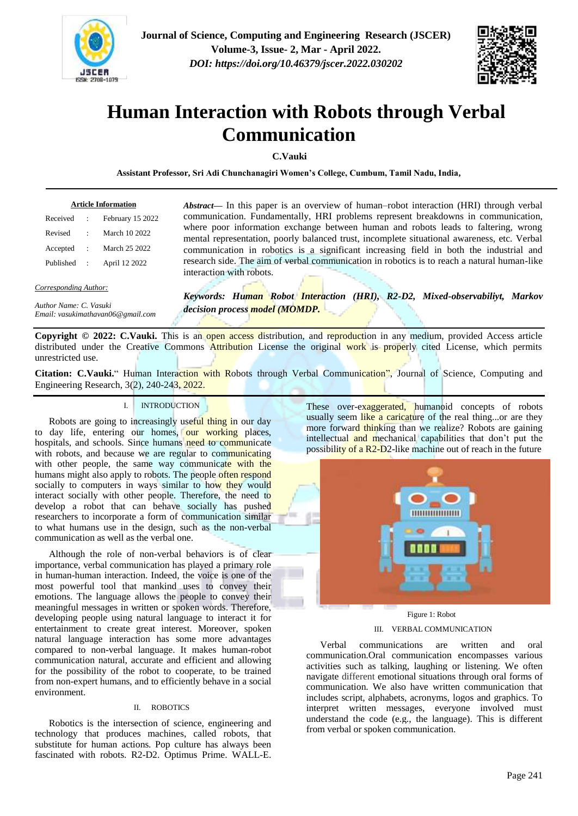



# **Human Interaction with Robots through Verbal Communication**

**C.Vauki**

**Assistant Professor, Sri Adi Chunchanagiri Women's College, Cumbum, Tamil Nadu, India,**

| <b>Article Information</b> |  |                  |
|----------------------------|--|------------------|
| Received                   |  | February 15 2022 |
| Revised                    |  | March 10 2022    |
| Accepted                   |  | March 25 2022    |
| Published                  |  | April 12 2022    |

*Abstract***—** In this paper is an overview of human–robot interaction (HRI) through verbal communication. Fundamentally, HRI problems represent breakdowns in communication, where poor information exchange between human and robots leads to faltering, wrong mental representation, poorly balanced trust, incomplete situational awareness, etc. Verbal communication in robotics is a significant increasing field in both the industrial and research side. The aim of verbal communication in robotics is to reach a natural human-like interaction with robots.

*Corresponding Author:*

*Author Name: C. Vasuki Email: vasukimathavan06@gmail.com*  *Keywords: Human Robot Interaction (HRI), R2-D2, Mixed-observabiliyt, Markov decision process model (MOMDP.*

**Copyright © 2022: C.Vauki.** This is an open access distribution, and reproduction in any medium, provided Access article distributed under the Creative Commons **Attribution** License the original work is properly cited License, which permits unrestricted use.

**Citation: C.Vauki.**" Human Interaction with Robots through Verbal Communication", Journal of Science, Computing and Engineering Research, 3(2), 240-243, 2022.

## I. INTRODUCTION

Robots are going to increasingly useful thing in our day to day life, entering our homes, our working places, hospitals, and schools. Since humans need to communicate with robots, and because we are regular to communicating with other people, the same way communicate with the humans might also apply to robots. The people often respond socially to computers in ways similar to how they would interact socially with other people. Therefore, the need to develop a robot that can behave socially has pushed researchers to incorporate a form of communication similar to what humans use in the design, such as the non-verbal communication as well as the verbal one.

Although the role of non-verbal behaviors is of clear importance, verbal communication has played a primary role in human-human interaction. Indeed, the voice is one of the most powerful tool that mankind uses to convey their emotions. The language allows the people to convey their meaningful messages in written or spoken words. Therefore, developing people using natural language to interact it for entertainment to create great interest. Moreover, spoken natural language interaction has some more advantages compared to non-verbal language. It makes human-robot communication natural, accurate and efficient and allowing for the possibility of the robot to cooperate, to be trained from non-expert humans, and to efficiently behave in a social environment.

## II. ROBOTICS

Robotics is the intersection of science, engineering and technology that produces machines, called robots, that substitute for human actions. Pop culture has always been fascinated with robots. R2-D2. Optimus Prime. WALL-E. These over-exaggerated, humanoid concepts of robots usually seem like a caricature of the real thing...or are they more forward thinking than we realize? Robots are gaining intellectual and mechanical capabilities that don't put the possibility of a R2-D2-like machine out of reach in the future



## Figure 1: Robot

## III. VERBAL COMMUNICATION

Verbal communications are written and oral communication.Oral communication encompasses various activities such as talking, laughing or listening. We often navigate different emotional situations through oral forms of communication. We also have written communication that includes script, alphabets, acronyms, logos and graphics. To interpret written messages, everyone involved must understand the code (e.g., the language). This is different from verbal or spoken communication.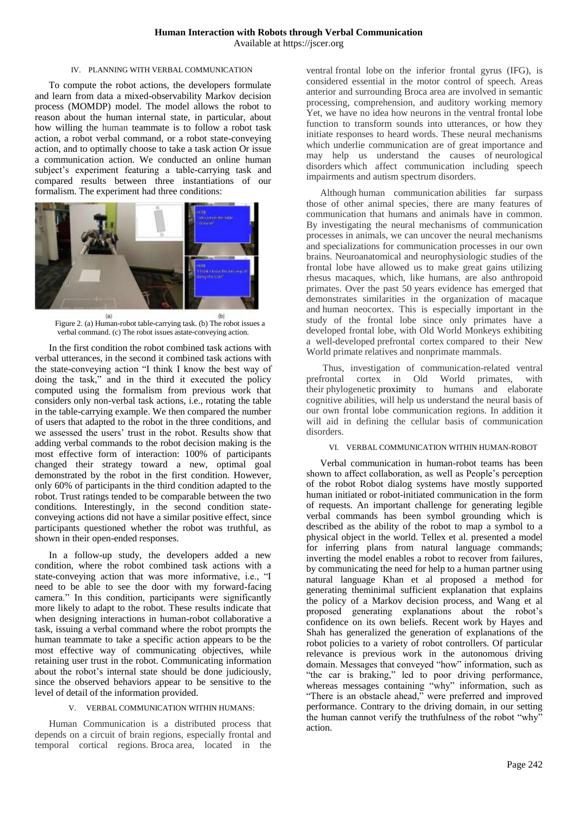#### IV. PLANNING WITH VERBAL COMMUNICATION

To compute the robot actions, the developers formulate and learn from data a mixed-observability Markov decision process (MOMDP) model. The model allows the robot to reason about the human internal state, in particular, about how willing the human teammate is to follow a robot task action, a robot verbal command, or a robot state-conveying action, and to optimally choose to take a task action Or issue a communication action. We conducted an online human subject's experiment featuring a table-carrying task and compared results between three instantiations of our formalism. The experiment had three conditions:



 $(2)$ (b) Figure 2. (a) Human-robot table-carrying task. (b) The robot issues a verbal command. (c) The robot issues astate-conveying action.

In the first condition the robot combined task actions with verbal utterances, in the second it combined task actions with the state-conveying action "I think I know the best way of doing the task," and in the third it executed the policy computed using the formalism from previous work that considers only non-verbal task actions, i.e., rotating the table in the table-carrying example. We then compared the number of users that adapted to the robot in the three conditions, and we assessed the users' trust in the robot. Results show that adding verbal commands to the robot decision making is the most effective form of interaction: 100% of participants changed their strategy toward a new, optimal goal demonstrated by the robot in the first condition. However, only 60% of participants in the third condition adapted to the robot. Trust ratings tended to be comparable between the two conditions. Interestingly, in the second condition stateconveying actions did not have a similar positive effect, since participants questioned whether the robot was truthful, as shown in their open-ended responses.

In a follow-up study, the developers added a new condition, where the robot combined task actions with a state-conveying action that was more informative, i.e., "I need to be able to see the door with my forward-facing camera." In this condition, participants were significantly more likely to adapt to the robot. These results indicate that when designing interactions in human-robot collaborative a task, issuing a verbal command where the robot prompts the human teammate to take a specific action appears to be the most effective way of communicating objectives, while retaining user trust in the robot. Communicating information about the robot's internal state should be done judiciously, since the observed behaviors appear to be sensitive to the level of detail of the information provided.

## V. VERBAL COMMUNICATION WITHIN HUMANS:

Human Communication is a distributed process that depends on a circuit of brain regions, especially frontal and temporal cortical regions. [Broca](https://www.sciencedirect.com/topics/psychology/brocas-area) area, located in the

ventral [frontal lobe](https://www.sciencedirect.com/topics/agricultural-and-biological-sciences/frontal-lobe) on the inferior frontal gyrus (IFG), is considered essential in the motor control of speech. Areas anterior and surrounding Broca area are involved in [semantic](https://www.sciencedirect.com/topics/psychology/semantic-processing)  [processing,](https://www.sciencedirect.com/topics/psychology/semantic-processing) comprehension, and auditory working memory Yet, we have no idea how neurons in the ventral frontal lobe function to transform sounds into utterances, or how they initiate responses to heard words. These neural mechanisms which underlie communication are of great importance and may help us understand the causes of [neurological](https://www.sciencedirect.com/topics/psychology/neurological-disorder)  [disorders](https://www.sciencedirect.com/topics/psychology/neurological-disorder) which affect communication including speech impairments and [autism spectrum disorders.](https://www.sciencedirect.com/topics/psychology/autism-spectrum-disorders)

Although human communication abilities far surpass those of other animal species, there are many features of communication that humans and animals have in common. By investigating the neural mechanisms of communication processes in animals, we can uncover the neural mechanisms and specializations for communication processes in our own brains. Neuroanatomical and neurophysiologic studies of the frontal lobe have allowed us to make great gains utilizing rhesus macaques, which, like humans, are also anthropoid primates. Over the past 50 years evidence has emerged that demonstrates similarities in the organization of macaque and [human neocortex.](https://www.sciencedirect.com/topics/psychology/human-neocortex) This is especially important in the study of the frontal lobe since only primates have a developed frontal lobe, with Old World Monkeys exhibiting a well-developed [prefrontal cortex](https://www.sciencedirect.com/topics/agricultural-and-biological-sciences/prefrontal-cortex) compared to their New World primate relatives and nonprimate mammals.

Thus, investigation of communication-related ventral prefrontal cortex in Old World primates, with their [phylogenetic](https://www.sciencedirect.com/topics/neuroscience/phylogenetics) proximity to humans and elaborate cognitive abilities, will help us understand the neural basis of our own frontal lobe communication regions. In addition it will aid in defining the cellular basis of communication disorders.

#### VI. VERBAL COMMUNICATION WITHIN HUMAN-ROBOT

Verbal communication in human-robot teams has been shown to affect collaboration, as well as People's perception of the robot Robot dialog systems have mostly supported human initiated or robot-initiated communication in the form of requests. An important challenge for generating legible verbal commands has been symbol grounding which is described as the ability of the robot to map a symbol to a physical object in the world. Tellex et al. presented a model for inferring plans from natural language commands; inverting the model enables a robot to recover from failures, by communicating the need for help to a human partner using natural language Khan et al proposed a method for generating theminimal sufficient explanation that explains the policy of a Markov decision process, and Wang et al proposed generating explanations about the robot's confidence on its own beliefs. Recent work by Hayes and Shah has generalized the generation of explanations of the robot policies to a variety of robot controllers. Of particular relevance is previous work in the autonomous driving domain. Messages that conveyed "how" information, such as "the car is braking," led to poor driving performance, whereas messages containing "why" information, such as "There is an obstacle ahead," were preferred and improved performance. Contrary to the driving domain, in our setting the human cannot verify the truthfulness of the robot "why" action.